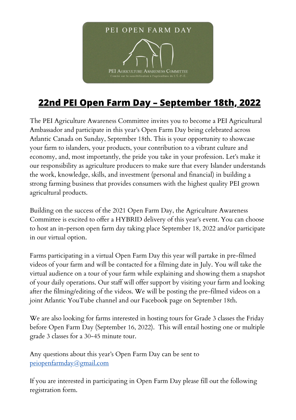

## **22nd PEI Open Farm Day – September 18th, 2022**

The PEI Agriculture Awareness Committee invites you to become a PEI Agricultural Ambassador and participate in this year's Open Farm Day being celebrated across Atlantic Canada on Sunday, September 18th. This is your opportunity to showcase your farm to islanders, your products, your contribution to a vibrant culture and economy, and, most importantly, the pride you take in your profession. Let's make it our responsibility as agriculture producers to make sure that every Islander understands the work, knowledge, skills, and investment (personal and financial) in building a strong farming business that provides consumers with the highest quality PEI grown agricultural products.

Building on the success of the 2021 Open Farm Day, the Agriculture Awareness Committee is excited to offer a HYBRID delivery of this year's event. You can choose to host an in-person open farm day taking place September 18, 2022 and/or participate in our virtual option.

Farms participating in a virtual Open Farm Day this year will partake in pre-filmed videos of your farm and will be contacted for a filming date in July. You will take the virtual audience on a tour of your farm while explaining and showing them a snapshot of your daily operations. Our staff will offer support by visiting your farm and looking after the filming/editing of the videos. We will be posting the pre-filmed videos on a joint Atlantic YouTube channel and our Facebook page on September 18th.

We are also looking for farms interested in hosting tours for Grade 3 classes the Friday before Open Farm Day (September 16, 2022). This will entail hosting one or multiple grade 3 classes for a 30-45 minute tour.

Any questions about this year's Open Farm Day can be sent to [peiopenfarmday@gmail.com](mailto:peiopenfarmday@gmail.com)

If you are interested in participating in Open Farm Day please fill out the following registration form.